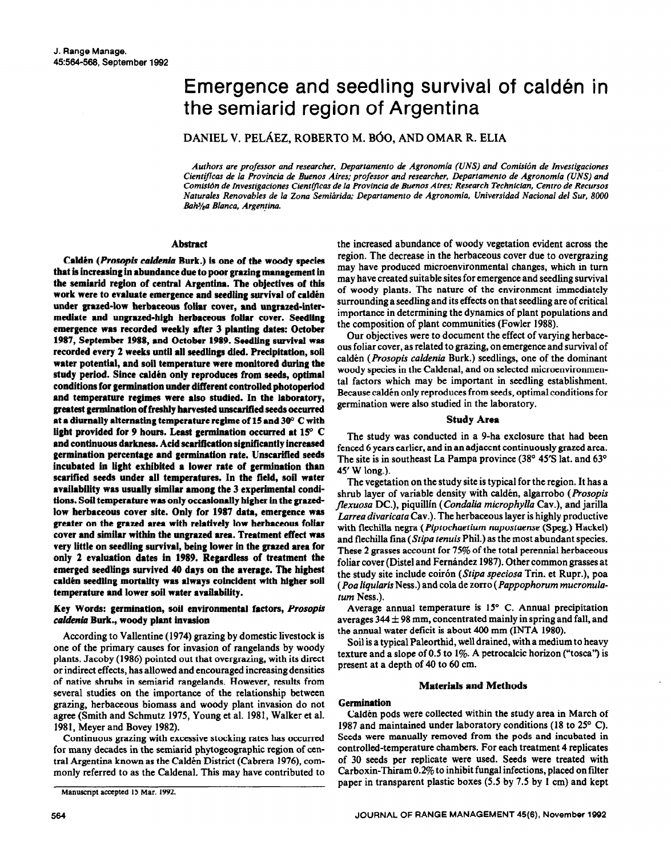# Emergence and seedling survival of calden in the semiarid region of Argentina

DANIEL V. PELÁEZ, ROBERTO M. BÓO, AND OMAR R. ELIA

Authors are professor and researcher, Departamento de Agronomia (UNS) and Comisión de Investigaciones *Cientajkas de la Provincia de Buenos Aires: professor and researcher, Departamento de Agronomia (UNS) and Comisicin de Invesrigaciones Cien@icas de la Provincia de Buenos Aires: Research Technician, Centro de Recursos Naturales Renovables de la Zona Semiririda; Departamento de Agronomin, Universidad National de1 Sur, 8000 BahJ/aa Blanca. Argentina.* 

## **Abstract**

**Caldén** *(Prosopis caldenia Burk.)* is one of the woody species **that is increasiag in abundance due to poor grazing management in the semiarid region of central Argentina. The objectives of this**  work were to evaluate emergence and seedling survival of caldén under grazed-low herbaceous foliar cover, and ungrazed-intermediate and ungrazed-high herbaceous foliar cover. Seedling emergence was recorded **weekly after 3 plantig dates: October**  1987, September 1988, and October 1989. Seedling survival was **recorded every 2 weeks until all seedlings died. Precipitation, soil**  water potential, and soil temperature were monitored during the study period. Since caldén only reproduces from seeds, optimal **conditions for gennlnation under different controlled photoperlod and temperature regimes were also studied. In the** laboratory, greatest germination of freshly harvested unscarifled seeds occurred **at a diurnally alternating temperature regime of 15 and 300 C with**  light provided for 9 hours. Least germination occurred at 15° C **and continuous darkness. Acid** scarlficatlon **significantly increased germination percentage and germination rate. Unscarified seeds incubated in light exhibited a lower rate of germination than scarified seeds under all temperatures. In the field, soil water availability was usually similar** among the 3 experimental conditions. Soil **temperature was only occasionally higher in the grazedlow herbaceous cover site. Only** for 1987 data, emergence was greater on the grazed area with relatively low herbaceous follar cover and similar within the ungrazed area. Treatment effect was **very little on seedling survival, being lower in the grazed area for only 2 evaluation dates in 1989. Regardless of treatment the emerged seedlings survived 40 days on the average. The highest**  caldén seedling mortality was always coincident with higher soil **temperature and lower soil water availability.** 

## Key Words: germination, soil environmental factors, Prosopis *coldenia* **Burk., woody plant invasion**

According to Vallentine (1974) grazing by domestic livestock is one of the primary causes for invasion of rangelands by woody plants. Jacoby (1986) pointed out that overgrazing, with its direct or indirect effects, has allowed and encouraged increasing densities of native shrubs in semiarid rangelands. However, results from several studies on the importance of the relationship between grazing, herbaceous biomass and woody plant invasion do not agree (Smith and Schmutz 1975, Young et al. 1981, Walker et al. 1981, Meyer and Bovey 1982).

Continuous grazing with excessive stocking rates has occurred for many decades in the semiarid phytogeographic region of central Argentina known as the Caldén District (Cabrera 1976), commonly referred to as the Caldenal. This may have contributed to

the increased abundance of woody vegetation evident across the region. The decrease in the herbaceous cover due to overgrazing may have produced microenvironmental changes, which in turn may have created suitable sites for emergence and seedling survival of woody plants. The nature of the environment immediately surrounding a seedling and its effects on that seedling are of critical importance in determining the dynamics of plant populations and the composition of plant communities (Fowler 1988).

Our objectives were to document the effect of varying herbaceous foliar cover, as related to grazing, on emergence and survival of caldén (Prosopis caldenia Burk.) seedlings, one of the dominant woody species in the Caldenal, and on selected microenvironmental factors which may be important in seedling establishment. Because caldén only reproduces from seeds, optimal conditions for germination were also studied in the laboratory.

### **Study Area**

The study was conducted in a 9-ha exclosure that had been fenced 6 years earlier, and in an adjacent continuously grazed area. The site is in southeast La Pampa province (38° 45'S lat. and 63° 45' W long.).

The vegetation on the study site is typical for the region. It has a shrub layer of variable density with caldén, algarrobo *(Prosopis flexuosu* DC.), piquillin *(Condaliu microphyllu* Cav.), and jarilla *Lurrea divaricata Cav.).* The herbaceous layer is highly productive with flechilla negra *(Piptochaetium napostaense (Speg.)* Hackel) and flechilla tina *(Stipa fenuis* Phil.) as the most abundant species. These 2 grasses account for 75% of the total perennial herbaceous foliar cover (Distel and Fernández 1987). Other common grasses at the study site include coir6n *(Sripa speciosa* Trin. et Rupr.), poa *(Poa liqularis Ness.)* and cola de zorro *(Pappophorum mucronulaturn Ness.).* 

Average annual temperature is 15° C. Annual precipitation averages  $344 \pm 98$  mm, concentrated mainly in spring and fall, and the annual water deficit is about 400 mm (INTA 1980).

Soil is a typical Paleorthid, well drained, with a medium to heavy texture and a slope of 0.5 to 1%. A petrocalcic horizon ("tosca") is present at a depth of 40 to 60 cm.

## **Materials and Methods**

### **Germination**

Calden pods were collected within the study area in March of 1987 and maintained under laboratory conditions (18 to 25' C). Seeds were manually removed from the pods and incubated in controlled-temperature chambers. For each treatment 4 replicates of 30 seeds per replicate were used. Seeds were treated with Carboxin-Thiram 0.2% to inhibit fungal infections, placed on filter paper in transparent plastic boxes (5.5 by 7.5 by 1 cm) and kept

Manuscript accepted I5 Mar. 1992.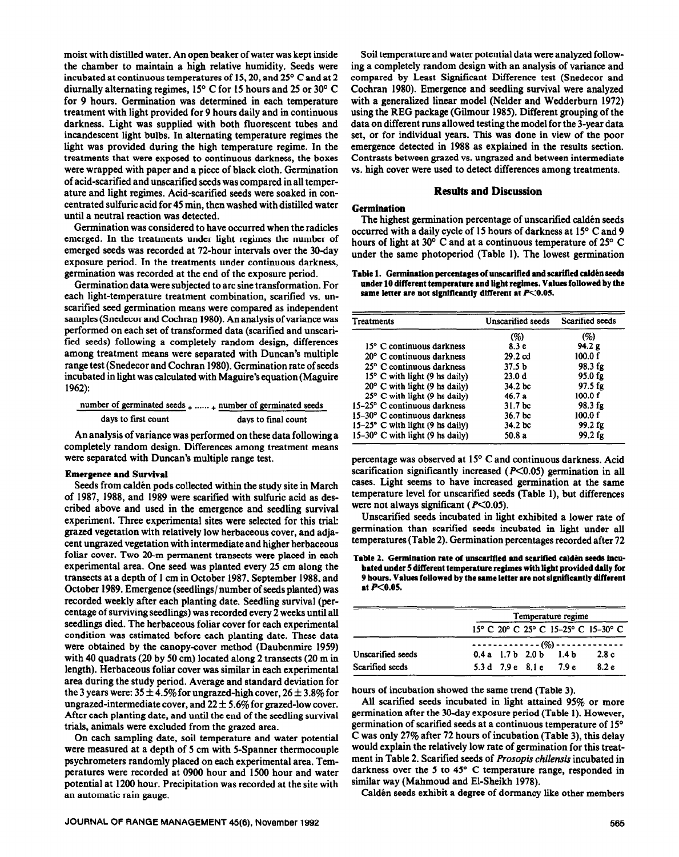**moist** with distilled water. An open beaker of water was kept inside the chamber to maintain a high relative humidity. Seeds were incubated at continuous temperatures of 15, 20, and 25 $\degree$  C and at 2 diurnally alternating regimes, 15' C for 15 hours and 25 or 30° C for 9 hours. Germination was determined in each temperature treatment with light provided for 9 hours daily and in continuous darkness. Light was supplied with both fluorescent tubes and incandescent light bulbs. In alternating temperature regimes the light was provided during the high temperature regime. In the treatments that were exposed to continuous darkness, the boxes were wrapped with paper and a piece of black cloth. Germination of acid-scarified and unscarified seeds was compared in all temperature and light regimes. Acid-scarified seeds were soaked in concentrated sulfuric acid for 45 min, then washed with distilled water until a neutral reaction was detected.

Germination was considered to have occurred when the radicles emerged. In the treatments under light regimes the number of emerged seeds was recorded at 72-hour intervals over the 30-day exposure period. In the treatments under continuous darkness, germination was recorded at the end of the exposure period.

Germination data were subjected to arc sine transformation. For each light-temperature treatment combination, scarified vs. unscarified seed germination means were compared as independent samples (Snedecor and Cochran 1980). An analysis of variance was performed on each set of transformed data (scarified and unscarified seeds) following a completely random design, differences among treatment means were separated with Duncan's multiple range test (Snedecor and Cochran 1980). Germination rate of seeds incubated in light was calculated with Maguire's equation (Maguire 1962):

| number of germinated seeds $_+$ $_+$ number of germinated seeds |                     |
|-----------------------------------------------------------------|---------------------|
| days to first count                                             | days to final count |

An analysis of variance was performed on these data following a completely random design. Differences among treatment means were separated with Duncan's multiple range test.

#### **Emergence and Survival**

Seeds from calden pods collected within the study site in March of 1987, 1988, and 1989 were scarified with sulfuric acid as described above and used in the emergence and seedling survival experiment. Three experimental sites were selected for this trial: grazed vegetation with relatively low herbaceous cover, and adjacent ungrazed vegetation with intermediate and higher herbaceous foliar cover. Two 20-m permanent transects were placed in each experimental area. One seed was planted every 25 cm along the transects at a depth of 1 cm in October 1987, September 1988, and October 1989. Emergence (seedlings/number of seeds planted) was recorded weekly after each planting date. Seedling survival (percentage of surviving seedlings) was recorded every 2 weeks until all seedlings died. The herbaceous foliar cover for each experimental condition was estimated before each planting date. These data were obtained by the canopy-cover method (Daubenmire 1959) with 40 quadrats (20 by 50 cm) located along 2 transects (20 m in length). Herbaceous foliar cover was similar in each experimental area during the study period. Average and standard deviation for the 3 years were:  $35 \pm 4.5\%$  for ungrazed-high cover,  $26 \pm 3.8\%$  for ungrazed-intermediate cover, and  $22 \pm 5.6\%$  for grazed-low cover. After each planting date, and until the end of the seedling survival trials, animals were excluded from the grazed area.

On each sampling date, soil temperature and water potential were measured at a depth of 5 cm with 5-Spanner thermocouple psychrometers randomly placed on each experimental area. Temperatures were recorded at 0900 hour and 1500 hour and water potential at 1200 hour. Precipitation was recorded at the site with an automatic rain gauge.

Soil temperature and water potential data were analyzed following a completely random design with an analysis of variance and compared by Least Significant Difference test (Snedecor and Cochran 1980). Emergence and seedling survival were analyzed with a generalized linear model (Nelder and Wedderburn 1972) using the REG package (Gilmour 1985). Different grouping of the data on different runs allowed testing the model for the 3-year data set, or for individual years. This was done in view of the poor emergence detected in 1988 as explained in the results section. Contrasts between grazed vs. ungrazed and between intermediate vs. high cover were used to detect differences among treatments.

## **Results and Discussion**

#### **Germination**

The highest germination percentage of unscarified calden seeds occurred with a daily cycle of 15 hours of darkness at 15" C and 9 hours of light at 30° C and at a continuous temperature of 25° C under the same photoperiod (Table 1). The lowest germination

Table 1. Germination percentages of unscarified and scarified calden seeds **under 10 different temperature and light regimes. Values followed by the**  same letter are not significantly different at  $P<0.05$ .

| <b>Treatments</b>                         | Unscarified seeds  | Scarified seeds |
|-------------------------------------------|--------------------|-----------------|
|                                           | (%)                | (%)             |
| 15° C continuous darkness                 | 8.3 e              | 94.2 g          |
| 20° C continuous darkness                 | $29.2$ cd          | 100.0 f         |
| 25° C continuous darkness                 | 37.5 <sub>b</sub>  | 98.3 fg         |
| $15^{\circ}$ C with light (9 hs daily)    | 23.0 d             | 95.0 fg         |
| $20^{\circ}$ C with light (9 hs daily)    | 34.2 <sub>bc</sub> | 97.5 fg         |
| $25^{\circ}$ C with light (9 hs daily)    | 46.7a              | 100.0 f         |
| 15-25° C continuous darkness              | 31.7 <sub>bc</sub> | 98.3 fg         |
| $15-30^{\circ}$ C continuous darkness     | 36.7 bc            | 100.0 f         |
| $15-25^{\circ}$ C with light (9 hs daily) | 34.2 bc            | 99.2 fg         |
| $15-30^{\circ}$ C with light (9 hs daily) | 50.8 a             | 99.2 fg         |

percentage was observed at 15' C and continuous darkness. Acid scarification significantly increased  $(P<0.05)$  germination in all cases. Light seems to have increased germination at the same temperature level for unscaritied seeds (Table l), but differences were not always significant ( $P<0.05$ ).

Unscarified seeds incubated in light exhibited a lower rate of germination than scarified seeds incubated in light under all temperatures (Table 2). Germination percentages recorded after 72

#### Table 2. Germination rate of unscarified and scarified calden seeds incu**bated under 5 different temperature regimes with llgbt provided dally** for **9 hours. Valuea followed by the same letter are not slgni5cantly different at PCO.05.**

|                   |  | Temperature regime      |                                     |
|-------------------|--|-------------------------|-------------------------------------|
|                   |  |                         | 15° C 20° C 25° C 15-25° C 15-30° C |
|                   |  |                         | ------------- (%)-------------      |
| Unscarified seeds |  | $0.4a$ 1.7b $2.0b$ 1.4b | 2.8c                                |
| Scarified seeds   |  | 5.3 d 7.9 e 8.1 e 7.9 e | 8.2 e                               |

hours of incubation showed the same trend (Table 3).

All scarified seeds incubated in light attained 95% or more germination after the 30-day exposure period (Table 1). However, germination of scarified seeds at a continuous temperature of 15° C was only 27% after 72 hours of incubation (Table 3), this delay would explain the relatively low rate of germination for this treatment in Table 2. Scarified seeds of Prosopis *chilensis* incubated in darkness over the 5 to 45" C temperature range, responded in similar way (Mahmoud and El-Sheikh 1978).

Caldén seeds exhibit a degree of dormancy like other members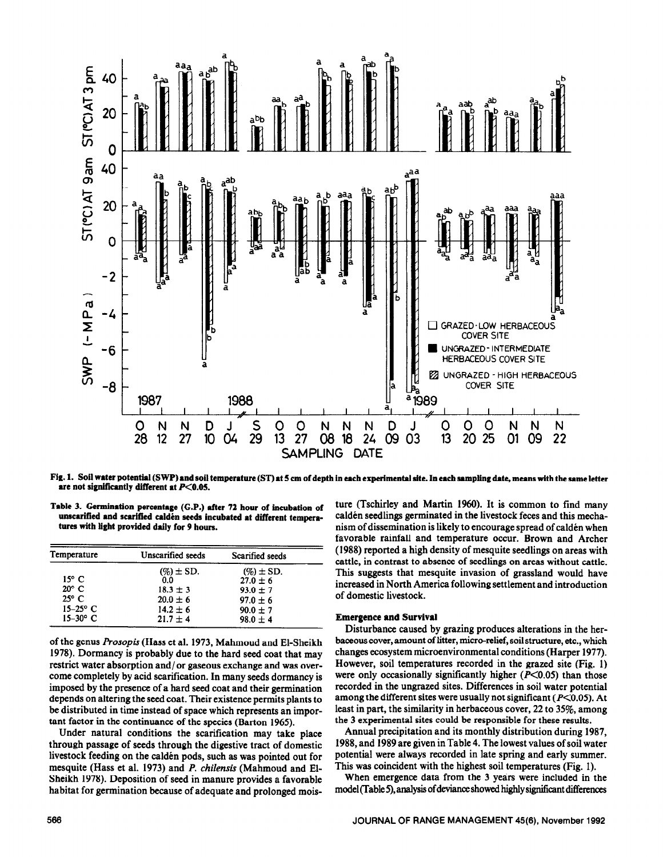

Fig. 1. Soil water potential (SWP) and soil temperature (ST) at 5 cm of depth in each experimental site. In each sampling date, means with the same letter are not significantly different at  $P<0.05$ .

| Table 3. Germination percentage (G.P.) after 72 hour of incubation of  |  |  |  |
|------------------------------------------------------------------------|--|--|--|
| unscarified and scarified calden seeds incubated at different tempera- |  |  |  |
| tures with light provided daily for 9 hours.                           |  |  |  |

| Temperature    | Unscarified seeds | Scarified seeds |
|----------------|-------------------|-----------------|
|                | $(\%)\pm SD.$     | $(\%$ $\pm$ SD. |
| $15^{\circ}$ C | 0.0               | $27.0 \pm 6$    |
| $20^{\circ}$ C | $18.3 \pm 3$      | $93.0 \pm 7$    |
| $25^{\circ}$ C | $20.0 \pm 6$      | $97.0 \pm 6$    |
| $15-25$ °C     | $14.2 \pm 6$      | $90.0 \pm 7$    |
| $15-30$ ° C    | $21.7 \pm 4$      | $98.0 \pm 4$    |

of the genus *Prosopis* (Hass et al. 1973, Mahmoud and El-Sheikh 1978). Dormancy is probably due to the hard seed coat that may restrict water absorption and/or gaseous exchange and was overcome completely by acid scarification. In many seeds dormancy is imposed by the presence of a hard seed coat and their germination depends on altering the seed coat. Their existence permits plants to be distributed in time instead of space which represents an important factor in the continuance of the species (Barton 1965).

Under natural conditions the scarification may take place through passage of seeds through the digestive tract of domestic livestock feeding on the caldén pods, such as was pointed out for mesquite (Hass et al. 1973) and P. chilensis (Mahmoud and El-Sheikh 1978). Deposition of seed in manure provides a favorable habitat for germination because of adequate and prolonged moisture (Tschirley and Martin 1960). It is common to find many caldén seedlings germinated in the livestock feces and this mechanism of dissemination is likely to encourage spread of caldén when favorable rainfall and temperature occur. Brown and Archer (1988) reported a high density of mesquite seedlings on areas with cattle, in contrast to absence of seedlings on areas without cattle. This suggests that mesquite invasion of grassland would have increased in North America following settlement and introduction of domestic livestock.

# **Emergence and Survival**

Disturbance caused by grazing produces alterations in the herbaceous cover, amount of litter, micro-relief, soil structure, etc., which changes ecosystem microenvironmental conditions (Harper 1977). However, soil temperatures recorded in the grazed site (Fig. 1) were only occasionally significantly higher  $(P<0.05)$  than those recorded in the ungrazed sites. Differences in soil water potential among the different sites were usually not significant ( $P<0.05$ ). At least in part, the similarity in herbaceous cover, 22 to 35%, among the 3 experimental sites could be responsible for these results.

Annual precipitation and its monthly distribution during 1987. 1988, and 1989 are given in Table 4. The lowest values of soil water potential were always recorded in late spring and early summer. This was coincident with the highest soil temperatures (Fig. 1).

When emergence data from the 3 years were included in the model (Table 5), analysis of deviance showed highly significant differences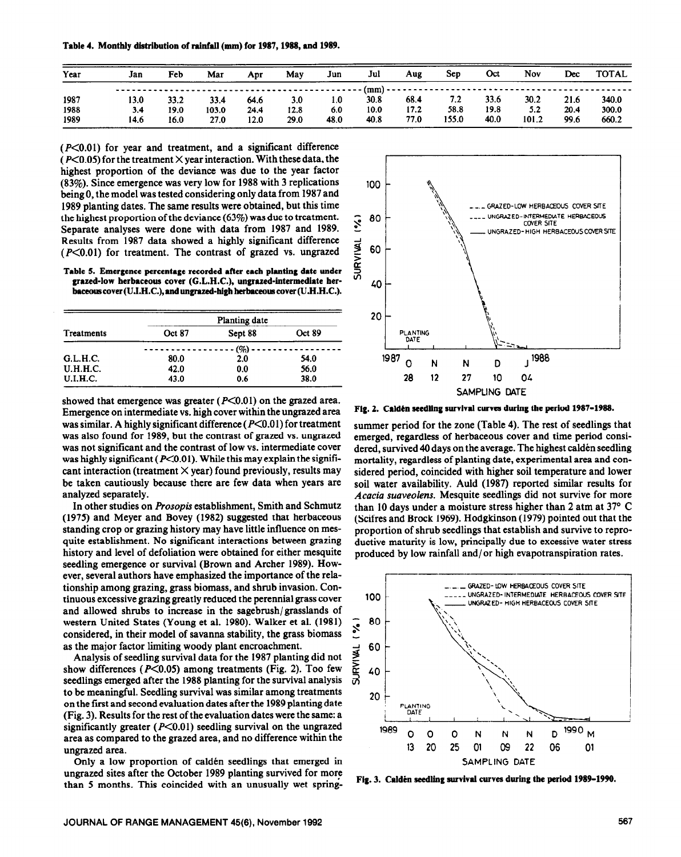Table 4. Monthly **distribution of rainfaii (mm) for 1987,1988, and 1989.** 

| Year | Jan            | Feb  | Mar   | Apr  | Mav  | Jun  | Jul  | Aug  | Sep   | Oct  | Nov   | Dec  | <b>TOTAL</b> |
|------|----------------|------|-------|------|------|------|------|------|-------|------|-------|------|--------------|
|      | -------------- |      |       |      |      |      |      |      |       |      |       |      |              |
| 1987 | 13.0           | 33.2 | 33.4  | 64.6 | 3.0  | 1.0  | 30.8 | 68.4 | 7.2   | 33.6 | 30.2  | 21.6 | 340.0        |
| 1988 | 3.4            | 19.0 | 103.0 | 24.4 | 12.8 | 6.0  | 10.0 | 17.2 | 58.8  | 19.8 | 5.2   | 20.4 | 300.0        |
| 1989 | 14.6           | 16.0 | 27.0  | 12.0 | 29.0 | 48.0 | 40.8 | 77.0 | 155.0 | 40.0 | 101.2 | 99.6 | 660.2        |

 $(P<0.01)$  for year and treatment, and a significant difference ( $P \le 0.05$ ) for the treatment  $\times$  year interaction. With these data, the highest proportion of the deviance was due to the year factor (83%). Since emergence was very low for 1988 with 3 replications being 0, the model was tested considering only data from 1987 and 1989 planting dates. The same results were obtained, but this time the highest proportion of the deviance (63%) was due to treatment. Separate analyses were done with data from 1987 and 1989. Results from 1987 data showed a highly significant difference  $(P<0.01)$  for treatment. The contrast of grazed vs. ungrazed

Table 5. Emergence **percentage recorded after each planting date under grazed-low berbaceous cover (G.L.H.C.), ungrued-intermediate ber**baceous cover (U.I.H.C.), and ungrazed-high herbaceous cover (U.H.H.C.).

| Treatments      | Planting date |         |        |  |  |
|-----------------|---------------|---------|--------|--|--|
|                 | Oct 87        | Sept 88 | Oct 89 |  |  |
|                 |               | - (%)   |        |  |  |
| G.L.H.C.        | 80.0          | 2.0     | 54.0   |  |  |
| <b>U.H.H.C.</b> | 42.0          | 0.0     | 56.0   |  |  |
| <b>U.I.H.C.</b> | 43.0          | 0.6     | 38.0   |  |  |

showed that emergence was greater  $(P<0.01)$  on the grazed area. Emergence on intermediate vs. high cover within the ungrazed area was similar. A highly significant difference  $(P<0.01)$  for treatment was also found for 1989, but the contrast of grazed vs. ungrazed was not significant and the contrast of low vs. intermediate cover was highly significant ( $P<0.01$ ). While this may explain the significant interaction (treatment  $\times$  year) found previously, results may be taken cautiously because there are few data when years are analyzed separately.

In other studies on *Prosopis* establishment, Smith and Schmutz (1975) and Meyer and Bovey (1982) suggested that herbaceous standing crop or grazing history may have little influence on mesquite establishment. No significant interactions between grazing history and level of defoliation were obtained for either mesquite seedling emergence or survival (Brown and Archer 1989). However, several authors have emphasized the importance of the relationship among grazing, grass biomass, and shrub invasion. Continuous excessive grazing greatly reduced the perennial grass cover and allowed shrubs to increase in the sagebrush/grasslands of western United States (Young et al. 1980). Walker et al. (1981) considered, in their model of savanna stability, the grass biomass as the major factor limiting woody plant encroachment.

Analysis of seedling survival data for the 1987 planting did not show differences ( $P \le 0.05$ ) among treatments (Fig. 2). Too few seedlings emerged after the 1988 planting for the survival analysis to be meaningful. Seedling survival was similar among treatments on the first and second evaluation dates after the 1989 planting date (Fig. 3). Results for the rest of the evaluation dates were the same: a significantly greater  $(P<0.01)$  seedling survival on the ungrazed area as compared to the grazed area, and no difference within the ungrazed area.

Only a low proportion of caldén seedlings that emerged in ungrazed sites after the October 1989 planting survived for more than 5 months. This coincided with an unusually wet spring-



Fig. 2. Caldén seedling survival curves during the period 1987-1988.

summer period for the zone (Table 4). The rest of seedlings that emerged, regardless of herbaceous cover and time period considered, survived 40 days on the average. The highest calden seedling mortality, regardless of planting date, experimental area and considered period, coincided with higher soil temperature and lower soil water availability. Auld (1987) reported similar results for *Acacia suaveolens.* Mesquite seedlings did not survive for more than 10 days under a moisture stress higher than 2 atm at  $37^{\circ}$  C (Scifres and Brock 1969). Hodgkinson (1979) pointed out that the proportion of shrub seedlings that establish and survive to reproductive maturity is low, principally due to excessive water stress produced by low rainfall and/ or high evapotranspiration rates.



Fig. 3. Calden seedling survival curves during the period 1989-1990.